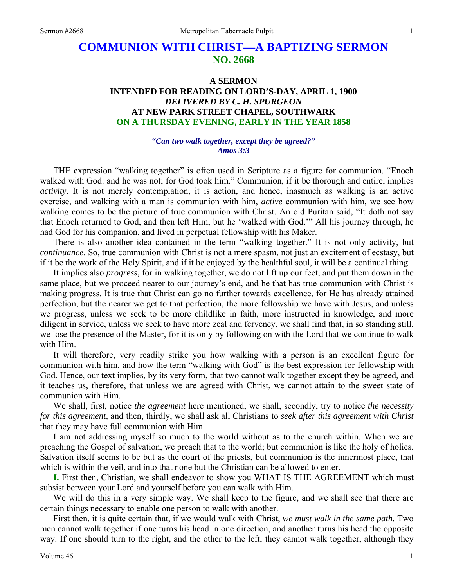# **COMMUNION WITH CHRIST—A BAPTIZING SERMON NO. 2668**

## **A SERMON INTENDED FOR READING ON LORD'S-DAY, APRIL 1, 1900**  *DELIVERED BY C. H. SPURGEON*  **AT NEW PARK STREET CHAPEL, SOUTHWARK ON A THURSDAY EVENING, EARLY IN THE YEAR 1858**

#### *"Can two walk together, except they be agreed?" Amos 3:3*

THE expression "walking together" is often used in Scripture as a figure for communion. "Enoch walked with God: and he was not; for God took him." Communion, if it be thorough and entire, implies *activity*. It is not merely contemplation, it is action, and hence, inasmuch as walking is an active exercise, and walking with a man is communion with him, *active* communion with him, we see how walking comes to be the picture of true communion with Christ. An old Puritan said, "It doth not say that Enoch returned to God, and then left Him, but he 'walked with God.'" All his journey through, he had God for his companion, and lived in perpetual fellowship with his Maker.

There is also another idea contained in the term "walking together." It is not only activity, but *continuance*. So, true communion with Christ is not a mere spasm, not just an excitement of ecstasy, but if it be the work of the Holy Spirit, and if it be enjoyed by the healthful soul, it will be a continual thing.

It implies also *progress,* for in walking together, we do not lift up our feet, and put them down in the same place, but we proceed nearer to our journey's end, and he that has true communion with Christ is making progress. It is true that Christ can go no further towards excellence, for He has already attained perfection, but the nearer we get to that perfection, the more fellowship we have with Jesus, and unless we progress, unless we seek to be more childlike in faith, more instructed in knowledge, and more diligent in service, unless we seek to have more zeal and fervency, we shall find that, in so standing still, we lose the presence of the Master, for it is only by following on with the Lord that we continue to walk with Him.

It will therefore, very readily strike you how walking with a person is an excellent figure for communion with him, and how the term "walking with God" is the best expression for fellowship with God. Hence, our text implies, by its very form, that two cannot walk together except they be agreed, and it teaches us, therefore, that unless we are agreed with Christ, we cannot attain to the sweet state of communion with Him.

We shall, first, notice *the agreement* here mentioned, we shall, secondly, try to notice *the necessity for this agreement,* and then, thirdly, we shall ask all Christians to *seek after this agreement with Christ*  that they may have full communion with Him.

I am not addressing myself so much to the world without as to the church within. When we are preaching the Gospel of salvation, we preach that to the world; but communion is like the holy of holies. Salvation itself seems to be but as the court of the priests, but communion is the innermost place, that which is within the veil, and into that none but the Christian can be allowed to enter.

**I.** First then, Christian, we shall endeavor to show you WHAT IS THE AGREEMENT which must subsist between your Lord and yourself before you can walk with Him.

We will do this in a very simple way. We shall keep to the figure, and we shall see that there are certain things necessary to enable one person to walk with another.

First then, it is quite certain that, if we would walk with Christ, *we must walk in the same path.* Two men cannot walk together if one turns his head in one direction, and another turns his head the opposite way. If one should turn to the right, and the other to the left, they cannot walk together, although they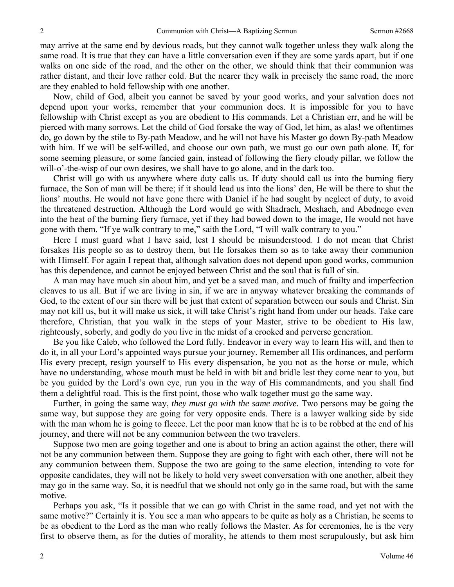may arrive at the same end by devious roads, but they cannot walk together unless they walk along the same road. It is true that they can have a little conversation even if they are some yards apart, but if one walks on one side of the road, and the other on the other, we should think that their communion was rather distant, and their love rather cold. But the nearer they walk in precisely the same road, the more are they enabled to hold fellowship with one another.

Now, child of God, albeit you cannot be saved by your good works, and your salvation does not depend upon your works, remember that your communion does. It is impossible for you to have fellowship with Christ except as you are obedient to His commands. Let a Christian err, and he will be pierced with many sorrows. Let the child of God forsake the way of God, let him, as alas! we oftentimes do, go down by the stile to By-path Meadow, and he will not have his Master go down By-path Meadow with him. If we will be self-willed, and choose our own path, we must go our own path alone. If, for some seeming pleasure, or some fancied gain, instead of following the fiery cloudy pillar, we follow the will-o'-the-wisp of our own desires, we shall have to go alone, and in the dark too.

Christ will go with us anywhere where duty calls us. If duty should call us into the burning fiery furnace, the Son of man will be there; if it should lead us into the lions' den, He will be there to shut the lions' mouths. He would not have gone there with Daniel if he had sought by neglect of duty, to avoid the threatened destruction. Although the Lord would go with Shadrach, Meshach, and Abednego even into the heat of the burning fiery furnace, yet if they had bowed down to the image, He would not have gone with them. "If ye walk contrary to me," saith the Lord, "I will walk contrary to you."

Here I must guard what I have said, lest I should be misunderstood. I do not mean that Christ forsakes His people so as to destroy them, but He forsakes them so as to take away their communion with Himself. For again I repeat that, although salvation does not depend upon good works, communion has this dependence, and cannot be enjoyed between Christ and the soul that is full of sin.

A man may have much sin about him, and yet be a saved man, and much of frailty and imperfection cleaves to us all. But if we are living in sin, if we are in anyway whatever breaking the commands of God, to the extent of our sin there will be just that extent of separation between our souls and Christ. Sin may not kill us, but it will make us sick, it will take Christ's right hand from under our heads. Take care therefore, Christian, that you walk in the steps of your Master, strive to be obedient to His law, righteously, soberly, and godly do you live in the midst of a crooked and perverse generation.

Be you like Caleb, who followed the Lord fully. Endeavor in every way to learn His will, and then to do it, in all your Lord's appointed ways pursue your journey. Remember all His ordinances, and perform His every precept, resign yourself to His every dispensation, be you not as the horse or mule, which have no understanding, whose mouth must be held in with bit and bridle lest they come near to you, but be you guided by the Lord's own eye, run you in the way of His commandments, and you shall find them a delightful road. This is the first point, those who walk together must go the same way.

Further, in going the same way, *they must go with the same motive.* Two persons may be going the same way, but suppose they are going for very opposite ends. There is a lawyer walking side by side with the man whom he is going to fleece. Let the poor man know that he is to be robbed at the end of his journey, and there will not be any communion between the two travelers.

Suppose two men are going together and one is about to bring an action against the other, there will not be any communion between them. Suppose they are going to fight with each other, there will not be any communion between them. Suppose the two are going to the same election, intending to vote for opposite candidates, they will not be likely to hold very sweet conversation with one another, albeit they may go in the same way. So, it is needful that we should not only go in the same road, but with the same motive.

Perhaps you ask, "Is it possible that we can go with Christ in the same road, and yet not with the same motive?" Certainly it is. You see a man who appears to be quite as holy as a Christian, he seems to be as obedient to the Lord as the man who really follows the Master. As for ceremonies, he is the very first to observe them, as for the duties of morality, he attends to them most scrupulously, but ask him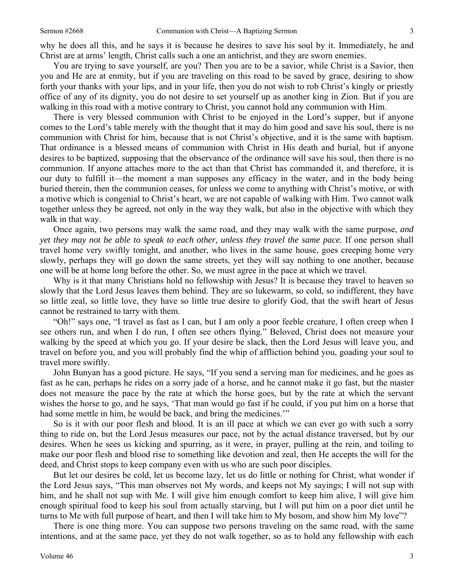why he does all this, and he says it is because he desires to save his soul by it. Immediately, he and Christ are at arms' length, Christ calls such a one an antichrist, and they are sworn enemies.

You are trying to save yourself, are you? Then you are to be a savior, while Christ is a Savior, then you and He are at enmity, but if you are traveling on this road to be saved by grace, desiring to show forth your thanks with your lips, and in your life, then you do not wish to rob Christ's kingly or priestly office of any of its dignity, you do not desire to set yourself up as another king in Zion. But if you are walking in this road with a motive contrary to Christ, you cannot hold any communion with Him.

There is very blessed communion with Christ to be enjoyed in the Lord's supper, but if anyone comes to the Lord's table merely with the thought that it may do him good and save his soul, there is no communion with Christ for him, because that is not Christ's objective, and it is the same with baptism. That ordinance is a blessed means of communion with Christ in His death and burial, but if anyone desires to be baptized, supposing that the observance of the ordinance will save his soul, then there is no communion. If anyone attaches more to the act than that Christ has commanded it, and therefore, it is our duty to fulfill it—the moment a man supposes any efficacy in the water, and in the body being buried therein, then the communion ceases, for unless we come to anything with Christ's motive, or with a motive which is congenial to Christ's heart, we are not capable of walking with Him. Two cannot walk together unless they be agreed, not only in the way they walk, but also in the objective with which they walk in that way.

Once again, two persons may walk the same road, and they may walk with the same purpose, *and yet they may not be able to speak to each other, unless they travel the same pace.* If one person shall travel home very swiftly tonight, and another, who lives in the same house, goes creeping home very slowly, perhaps they will go down the same streets, yet they will say nothing to one another, because one will be at home long before the other. So, we must agree in the pace at which we travel.

Why is it that many Christians hold no fellowship with Jesus? It is because they travel to heaven so slowly that the Lord Jesus leaves them behind. They are so lukewarm, so cold, so indifferent, they have so little zeal, so little love, they have so little true desire to glorify God, that the swift heart of Jesus cannot be restrained to tarry with them.

"Oh!" says one, "I travel as fast as I can, but I am only a poor feeble creature, I often creep when I see others run, and when I do run, I often see others flying." Beloved, Christ does not measure your walking by the speed at which you go. If your desire be slack, then the Lord Jesus will leave you, and travel on before you, and you will probably find the whip of affliction behind you, goading your soul to travel more swiftly.

John Bunyan has a good picture. He says, "If you send a serving man for medicines, and he goes as fast as he can, perhaps he rides on a sorry jade of a horse, and he cannot make it go fast, but the master does not measure the pace by the rate at which the horse goes, but by the rate at which the servant wishes the horse to go, and he says, 'That man would go fast if he could, if you put him on a horse that had some mettle in him, he would be back, and bring the medicines."

So is it with our poor flesh and blood. It is an ill pace at which we can ever go with such a sorry thing to ride on, but the Lord Jesus measures our pace, not by the actual distance traversed, but by our desires. When he sees us kicking and spurring, as it were, in prayer, pulling at the rein, and toiling to make our poor flesh and blood rise to something like devotion and zeal, then He accepts the will for the deed, and Christ stops to keep company even with us who are such poor disciples.

But let our desires be cold, let us become lazy, let us do little or nothing for Christ, what wonder if the Lord Jesus says, "This man observes not My words, and keeps not My sayings; I will not sup with him, and he shall not sup with Me. I will give him enough comfort to keep him alive, I will give him enough spiritual food to keep his soul from actually starving, but I will put him on a poor diet until he turns to Me with full purpose of heart, and then I will take him to My bosom, and show him My love"?

There is one thing more. You can suppose two persons traveling on the same road, with the same intentions, and at the same pace, yet they do not walk together, so as to hold any fellowship with each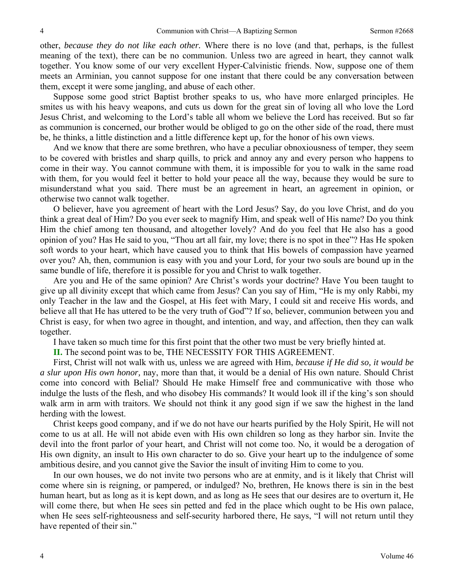other, *because they do not like each other.* Where there is no love (and that, perhaps, is the fullest meaning of the text), there can be no communion. Unless two are agreed in heart, they cannot walk together. You know some of our very excellent Hyper-Calvinistic friends. Now, suppose one of them meets an Arminian, you cannot suppose for one instant that there could be any conversation between them, except it were some jangling, and abuse of each other.

Suppose some good strict Baptist brother speaks to us, who have more enlarged principles. He smites us with his heavy weapons, and cuts us down for the great sin of loving all who love the Lord Jesus Christ, and welcoming to the Lord's table all whom we believe the Lord has received. But so far as communion is concerned, our brother would be obliged to go on the other side of the road, there must be, he thinks, a little distinction and a little difference kept up, for the honor of his own views.

And we know that there are some brethren, who have a peculiar obnoxiousness of temper, they seem to be covered with bristles and sharp quills, to prick and annoy any and every person who happens to come in their way. You cannot commune with them, it is impossible for you to walk in the same road with them, for you would feel it better to hold your peace all the way, because they would be sure to misunderstand what you said. There must be an agreement in heart, an agreement in opinion, or otherwise two cannot walk together.

O believer, have you agreement of heart with the Lord Jesus? Say, do you love Christ, and do you think a great deal of Him? Do you ever seek to magnify Him, and speak well of His name? Do you think Him the chief among ten thousand, and altogether lovely? And do you feel that He also has a good opinion of you? Has He said to you, "Thou art all fair, my love; there is no spot in thee"? Has He spoken soft words to your heart, which have caused you to think that His bowels of compassion have yearned over you? Ah, then, communion is easy with you and your Lord, for your two souls are bound up in the same bundle of life, therefore it is possible for you and Christ to walk together.

Are you and He of the same opinion? Are Christ's words your doctrine? Have You been taught to give up all divinity except that which came from Jesus? Can you say of Him, "He is my only Rabbi, my only Teacher in the law and the Gospel, at His feet with Mary, I could sit and receive His words, and believe all that He has uttered to be the very truth of God"? If so, believer, communion between you and Christ is easy, for when two agree in thought, and intention, and way, and affection, then they can walk together.

I have taken so much time for this first point that the other two must be very briefly hinted at.

**II.** The second point was to be, THE NECESSITY FOR THIS AGREEMENT.

First, Christ will not walk with us, unless we are agreed with Him, *because if He did so, it would be a slur upon His own honor,* nay, more than that, it would be a denial of His own nature. Should Christ come into concord with Belial? Should He make Himself free and communicative with those who indulge the lusts of the flesh, and who disobey His commands? It would look ill if the king's son should walk arm in arm with traitors. We should not think it any good sign if we saw the highest in the land herding with the lowest.

Christ keeps good company, and if we do not have our hearts purified by the Holy Spirit, He will not come to us at all. He will not abide even with His own children so long as they harbor sin. Invite the devil into the front parlor of your heart, and Christ will not come too. No, it would be a derogation of His own dignity, an insult to His own character to do so. Give your heart up to the indulgence of some ambitious desire, and you cannot give the Savior the insult of inviting Him to come to you.

In our own houses, we do not invite two persons who are at enmity, and is it likely that Christ will come where sin is reigning, or pampered, or indulged? No, brethren, He knows there is sin in the best human heart, but as long as it is kept down, and as long as He sees that our desires are to overturn it, He will come there, but when He sees sin petted and fed in the place which ought to be His own palace, when He sees self-righteousness and self-security harbored there, He says, "I will not return until they have repented of their sin."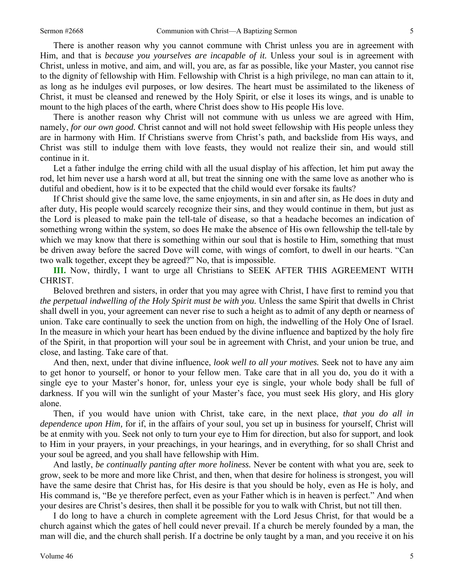There is another reason why you cannot commune with Christ unless you are in agreement with Him, and that is *because you yourselves are incapable of it.* Unless your soul is in agreement with Christ, unless in motive, and aim, and will, you are, as far as possible, like your Master, you cannot rise to the dignity of fellowship with Him. Fellowship with Christ is a high privilege, no man can attain to it, as long as he indulges evil purposes, or low desires. The heart must be assimilated to the likeness of Christ, it must be cleansed and renewed by the Holy Spirit, or else it loses its wings, and is unable to mount to the high places of the earth, where Christ does show to His people His love.

There is another reason why Christ will not commune with us unless we are agreed with Him, namely, *for our own good.* Christ cannot and will not hold sweet fellowship with His people unless they are in harmony with Him. If Christians swerve from Christ's path, and backslide from His ways, and Christ was still to indulge them with love feasts, they would not realize their sin, and would still continue in it.

Let a father indulge the erring child with all the usual display of his affection, let him put away the rod, let him never use a harsh word at all, but treat the sinning one with the same love as another who is dutiful and obedient, how is it to be expected that the child would ever forsake its faults?

If Christ should give the same love, the same enjoyments, in sin and after sin, as He does in duty and after duty, His people would scarcely recognize their sins, and they would continue in them, but just as the Lord is pleased to make pain the tell-tale of disease, so that a headache becomes an indication of something wrong within the system, so does He make the absence of His own fellowship the tell-tale by which we may know that there is something within our soul that is hostile to Him, something that must be driven away before the sacred Dove will come, with wings of comfort, to dwell in our hearts. "Can two walk together, except they be agreed?" No, that is impossible.

**III.** Now, thirdly, I want to urge all Christians to SEEK AFTER THIS AGREEMENT WITH CHRIST.

Beloved brethren and sisters, in order that you may agree with Christ, I have first to remind you that *the perpetual indwelling of the Holy Spirit must be with you.* Unless the same Spirit that dwells in Christ shall dwell in you, your agreement can never rise to such a height as to admit of any depth or nearness of union. Take care continually to seek the unction from on high, the indwelling of the Holy One of Israel. In the measure in which your heart has been endued by the divine influence and baptized by the holy fire of the Spirit, in that proportion will your soul be in agreement with Christ, and your union be true, and close, and lasting. Take care of that.

And then, next, under that divine influence, *look well to all your motives.* Seek not to have any aim to get honor to yourself, or honor to your fellow men. Take care that in all you do, you do it with a single eye to your Master's honor, for, unless your eye is single, your whole body shall be full of darkness. If you will win the sunlight of your Master's face, you must seek His glory, and His glory alone.

Then, if you would have union with Christ, take care, in the next place, *that you do all in dependence upon Him,* for if, in the affairs of your soul, you set up in business for yourself, Christ will be at enmity with you. Seek not only to turn your eye to Him for direction, but also for support, and look to Him in your prayers, in your preachings, in your hearings, and in everything, for so shall Christ and your soul be agreed, and you shall have fellowship with Him.

And lastly, *be continually panting after more holiness.* Never be content with what you are, seek to grow, seek to be more and more like Christ, and then, when that desire for holiness is strongest, you will have the same desire that Christ has, for His desire is that you should be holy, even as He is holy, and His command is, "Be ye therefore perfect, even as your Father which is in heaven is perfect." And when your desires are Christ's desires, then shall it be possible for you to walk with Christ, but not till then.

I do long to have a church in complete agreement with the Lord Jesus Christ, for that would be a church against which the gates of hell could never prevail. If a church be merely founded by a man, the man will die, and the church shall perish. If a doctrine be only taught by a man, and you receive it on his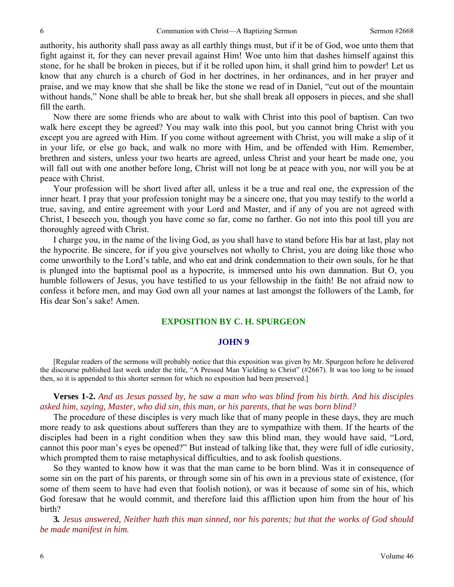authority, his authority shall pass away as all earthly things must, but if it be of God, woe unto them that fight against it, for they can never prevail against Him! Woe unto him that dashes himself against this stone, for he shall be broken in pieces, but if it be rolled upon him, it shall grind him to powder! Let us know that any church is a church of God in her doctrines, in her ordinances, and in her prayer and praise, and we may know that she shall be like the stone we read of in Daniel, "cut out of the mountain without hands," None shall be able to break her, but she shall break all opposers in pieces, and she shall fill the earth.

Now there are some friends who are about to walk with Christ into this pool of baptism. Can two walk here except they be agreed? You may walk into this pool, but you cannot bring Christ with you except you are agreed with Him. If you come without agreement with Christ, you will make a slip of it in your life, or else go back, and walk no more with Him, and be offended with Him. Remember, brethren and sisters, unless your two hearts are agreed, unless Christ and your heart be made one, you will fall out with one another before long, Christ will not long be at peace with you, nor will you be at peace with Christ.

Your profession will be short lived after all, unless it be a true and real one, the expression of the inner heart. I pray that your profession tonight may be a sincere one, that you may testify to the world a true, saving, and entire agreement with your Lord and Master, and if any of you are not agreed with Christ, I beseech you, though you have come so far, come no farther. Go not into this pool till you are thoroughly agreed with Christ.

I charge you, in the name of the living God, as you shall have to stand before His bar at last, play not the hypocrite. Be sincere, for if you give yourselves not wholly to Christ, you are doing like those who come unworthily to the Lord's table, and who eat and drink condemnation to their own souls, for he that is plunged into the baptismal pool as a hypocrite, is immersed unto his own damnation. But O, you humble followers of Jesus, you have testified to us your fellowship in the faith! Be not afraid now to confess it before men, and may God own all your names at last amongst the followers of the Lamb, for His dear Son's sake! Amen.

#### **EXPOSITION BY C. H. SPURGEON**

#### **JOHN 9**

[Regular readers of the sermons will probably notice that this exposition was given by Mr. Spurgeon before he delivered the discourse published last week under the title, "A Pressed Man Yielding to Christ" (#2667). It was too long to be issued then, so it is appended to this shorter sermon for which no exposition had been preserved.]

### **Verses 1-2.** *And as Jesus passed by, he saw a man who was blind from his birth. And his disciples asked him, saying, Master, who did sin, this man, or his parents, that he was born blind?*

The procedure of these disciples is very much like that of many people in these days, they are much more ready to ask questions about sufferers than they are to sympathize with them. If the hearts of the disciples had been in a right condition when they saw this blind man, they would have said, "Lord, cannot this poor man's eyes be opened?" But instead of talking like that, they were full of idle curiosity, which prompted them to raise metaphysical difficulties, and to ask foolish questions.

So they wanted to know how it was that the man came to be born blind. Was it in consequence of some sin on the part of his parents, or through some sin of his own in a previous state of existence, (for some of them seem to have had even that foolish notion), or was it because of some sin of his, which God foresaw that he would commit, and therefore laid this affliction upon him from the hour of his birth?

**3***. Jesus answered, Neither hath this man sinned, nor his parents; but that the works of God should be made manifest in him.*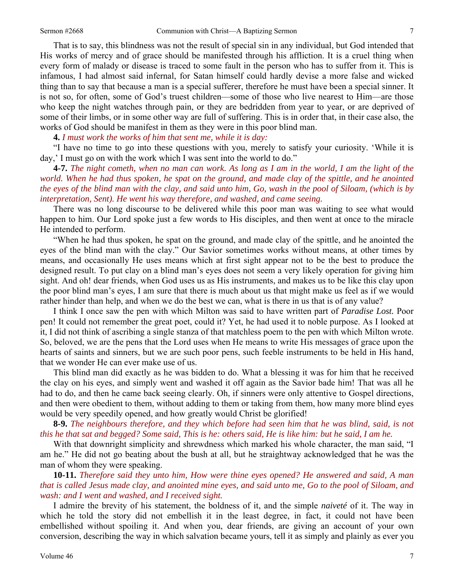That is to say, this blindness was not the result of special sin in any individual, but God intended that His works of mercy and of grace should be manifested through his affliction. It is a cruel thing when every form of malady or disease is traced to some fault in the person who has to suffer from it. This is infamous, I had almost said infernal, for Satan himself could hardly devise a more false and wicked thing than to say that because a man is a special sufferer, therefore he must have been a special sinner. It is not so, for often, some of God's truest children—some of those who live nearest to Him—are those who keep the night watches through pain, or they are bedridden from year to year, or are deprived of some of their limbs, or in some other way are full of suffering. This is in order that, in their case also, the works of God should be manifest in them as they were in this poor blind man.

**4.** *I must work the works of him that sent me, while it is day:* 

"I have no time to go into these questions with you, merely to satisfy your curiosity. 'While it is day,' I must go on with the work which I was sent into the world to do."

**4-7.** *The night cometh, when no man can work. As long as I am in the world, I am the light of the world. When he had thus spoken, he spat on the ground, and made clay of the spittle, and he anointed the eyes of the blind man with the clay, and said unto him, Go, wash in the pool of Siloam, (which is by interpretation, Sent). He went his way therefore, and washed, and came seeing.* 

There was no long discourse to be delivered while this poor man was waiting to see what would happen to him. Our Lord spoke just a few words to His disciples, and then went at once to the miracle He intended to perform.

"When he had thus spoken, he spat on the ground, and made clay of the spittle, and he anointed the eyes of the blind man with the clay." Our Savior sometimes works without means, at other times by means, and occasionally He uses means which at first sight appear not to be the best to produce the designed result. To put clay on a blind man's eyes does not seem a very likely operation for giving him sight. And oh! dear friends, when God uses us as His instruments, and makes us to be like this clay upon the poor blind man's eyes, I am sure that there is much about us that might make us feel as if we would rather hinder than help, and when we do the best we can, what is there in us that is of any value?

I think I once saw the pen with which Milton was said to have written part of *Paradise Lost.* Poor pen! It could not remember the great poet, could it? Yet, he had used it to noble purpose. As I looked at it, I did not think of ascribing a single stanza of that matchless poem to the pen with which Milton wrote. So, beloved, we are the pens that the Lord uses when He means to write His messages of grace upon the hearts of saints and sinners, but we are such poor pens, such feeble instruments to be held in His hand, that we wonder He can ever make use of us.

This blind man did exactly as he was bidden to do. What a blessing it was for him that he received the clay on his eyes, and simply went and washed it off again as the Savior bade him! That was all he had to do, and then he came back seeing clearly. Oh, if sinners were only attentive to Gospel directions, and then were obedient to them, without adding to them or taking from them, how many more blind eyes would be very speedily opened, and how greatly would Christ be glorified!

**8-9.** *The neighbours therefore, and they which before had seen him that he was blind, said, is not this he that sat and begged? Some said, This is he: others said, He is like him: but he said, I am he.* 

With that downright simplicity and shrewdness which marked his whole character, the man said, "I am he." He did not go beating about the bush at all, but he straightway acknowledged that he was the man of whom they were speaking.

**10-11.** *Therefore said they unto him, How were thine eyes opened? He answered and said, A man that is called Jesus made clay, and anointed mine eyes, and said unto me, Go to the pool of Siloam, and wash: and I went and washed, and I received sight.* 

I admire the brevity of his statement, the boldness of it, and the simple *naiveté* of it. The way in which he told the story did not embellish it in the least degree, in fact, it could not have been embellished without spoiling it. And when you, dear friends, are giving an account of your own conversion, describing the way in which salvation became yours, tell it as simply and plainly as ever you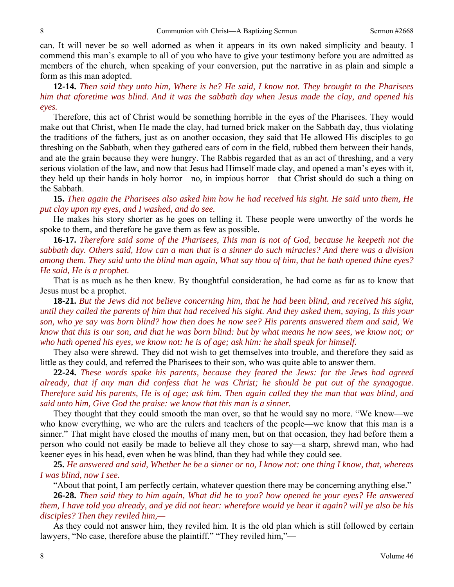can. It will never be so well adorned as when it appears in its own naked simplicity and beauty. I commend this man's example to all of you who have to give your testimony before you are admitted as members of the church, when speaking of your conversion, put the narrative in as plain and simple a form as this man adopted.

**12-14.** *Then said they unto him, Where is he? He said, I know not. They brought to the Pharisees him that aforetime was blind. And it was the sabbath day when Jesus made the clay, and opened his eyes.* 

Therefore, this act of Christ would be something horrible in the eyes of the Pharisees. They would make out that Christ, when He made the clay, had turned brick maker on the Sabbath day, thus violating the traditions of the fathers, just as on another occasion, they said that He allowed His disciples to go threshing on the Sabbath, when they gathered ears of corn in the field, rubbed them between their hands, and ate the grain because they were hungry. The Rabbis regarded that as an act of threshing, and a very serious violation of the law, and now that Jesus had Himself made clay, and opened a man's eyes with it, they held up their hands in holy horror—no, in impious horror—that Christ should do such a thing on the Sabbath.

**15.** *Then again the Pharisees also asked him how he had received his sight. He said unto them, He put clay upon my eyes, and I washed, and do see.* 

He makes his story shorter as he goes on telling it. These people were unworthy of the words he spoke to them, and therefore he gave them as few as possible.

**16-17.** *Therefore said some of the Pharisees, This man is not of God, because he keepeth not the sabbath day. Others said, How can a man that is a sinner do such miracles? And there was a division among them. They said unto the blind man again, What say thou of him, that he hath opened thine eyes? He said, He is a prophet.* 

That is as much as he then knew. By thoughtful consideration, he had come as far as to know that Jesus must be a prophet.

**18-21.** *But the Jews did not believe concerning him, that he had been blind, and received his sight, until they called the parents of him that had received his sight. And they asked them, saying, Is this your son, who ye say was born blind? how then does he now see? His parents answered them and said, We know that this is our son, and that he was born blind: but by what means he now sees, we know not; or who hath opened his eyes, we know not: he is of age; ask him: he shall speak for himself.* 

They also were shrewd. They did not wish to get themselves into trouble, and therefore they said as little as they could, and referred the Pharisees to their son, who was quite able to answer them.

**22-24.** *These words spake his parents, because they feared the Jews: for the Jews had agreed already, that if any man did confess that he was Christ; he should be put out of the synagogue. Therefore said his parents, He is of age; ask him. Then again called they the man that was blind, and said unto him, Give God the praise: we know that this man is a sinner.* 

They thought that they could smooth the man over, so that he would say no more. "We know—we who know everything, we who are the rulers and teachers of the people—we know that this man is a sinner." That might have closed the mouths of many men, but on that occasion, they had before them a person who could not easily be made to believe all they chose to say—a sharp, shrewd man, who had keener eyes in his head, even when he was blind, than they had while they could see.

**25.** *He answered and said, Whether he be a sinner or no, I know not: one thing I know, that, whereas I was blind, now I see.* 

"About that point, I am perfectly certain, whatever question there may be concerning anything else."

**26-28.** *Then said they to him again, What did he to you? how opened he your eyes? He answered them, I have told you already, and ye did not hear: wherefore would ye hear it again? will ye also be his disciples? Then they reviled him,—* 

As they could not answer him, they reviled him. It is the old plan which is still followed by certain lawyers, "No case, therefore abuse the plaintiff." "They reviled him,"—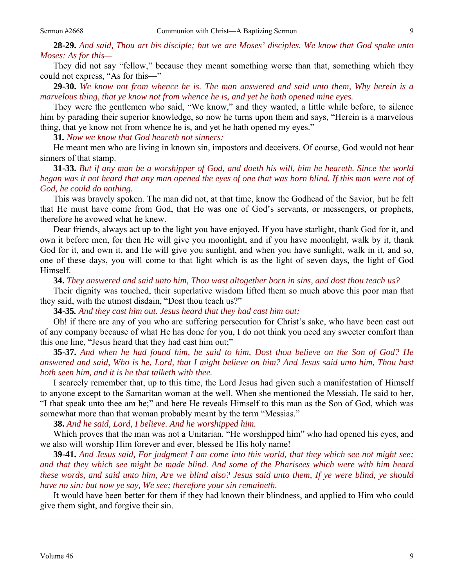They did not say "fellow," because they meant something worse than that, something which they could not express, "As for this—"

**29-30.** *We know not from whence he is. The man answered and said unto them, Why herein is a marvelous thing, that ye know not from whence he is, and yet he hath opened mine eyes.* 

They were the gentlemen who said, "We know," and they wanted, a little while before, to silence him by parading their superior knowledge, so now he turns upon them and says, "Herein is a marvelous thing, that ye know not from whence he is, and yet he hath opened my eyes."

**31***. Now we know that God heareth not sinners:* 

He meant men who are living in known sin, impostors and deceivers. Of course, God would not hear sinners of that stamp.

**31-33.** *But if any man be a worshipper of God, and doeth his will, him he heareth. Since the world began was it not heard that any man opened the eyes of one that was born blind. If this man were not of God, he could do nothing.* 

This was bravely spoken. The man did not, at that time, know the Godhead of the Savior, but he felt that He must have come from God, that He was one of God's servants, or messengers, or prophets, therefore he avowed what he knew.

Dear friends, always act up to the light you have enjoyed. If you have starlight, thank God for it, and own it before men, for then He will give you moonlight, and if you have moonlight, walk by it, thank God for it, and own it, and He will give you sunlight, and when you have sunlight, walk in it, and so, one of these days, you will come to that light which is as the light of seven days, the light of God Himself.

**34.** *They answered and said unto him, Thou wast altogether born in sins, and dost thou teach us?* 

Their dignity was touched, their superlative wisdom lifted them so much above this poor man that they said, with the utmost disdain, "Dost thou teach us?"

**34-35***. And they cast him out. Jesus heard that they had cast him out;* 

Oh! if there are any of you who are suffering persecution for Christ's sake, who have been cast out of any company because of what He has done for you, I do not think you need any sweeter comfort than this one line, "Jesus heard that they had cast him out;"

**35-37.** *And when he had found him, he said to him, Dost thou believe on the Son of God? He answered and said, Who is he, Lord, that I might believe on him? And Jesus said unto him, Thou hast both seen him, and it is he that talketh with thee.* 

I scarcely remember that, up to this time, the Lord Jesus had given such a manifestation of Himself to anyone except to the Samaritan woman at the well. When she mentioned the Messiah, He said to her, "I that speak unto thee am he;" and here He reveals Himself to this man as the Son of God, which was somewhat more than that woman probably meant by the term "Messias."

**38.** *And he said, Lord, I believe. And he worshipped him.* 

Which proves that the man was not a Unitarian. "He worshipped him" who had opened his eyes, and we also will worship Him forever and ever, blessed be His holy name!

**39-41.** *And Jesus said, For judgment I am come into this world, that they which see not might see; and that they which see might be made blind. And some of the Pharisees which were with him heard these words, and said unto him, Are we blind also? Jesus said unto them, If ye were blind, ye should have no sin: but now ye say, We see; therefore your sin remaineth.* 

It would have been better for them if they had known their blindness, and applied to Him who could give them sight, and forgive their sin.